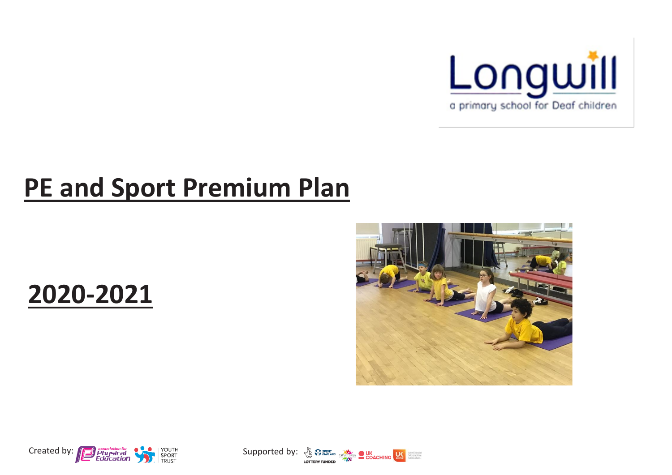

## **PE and Sport Premium Plan**

## **2020-2021**





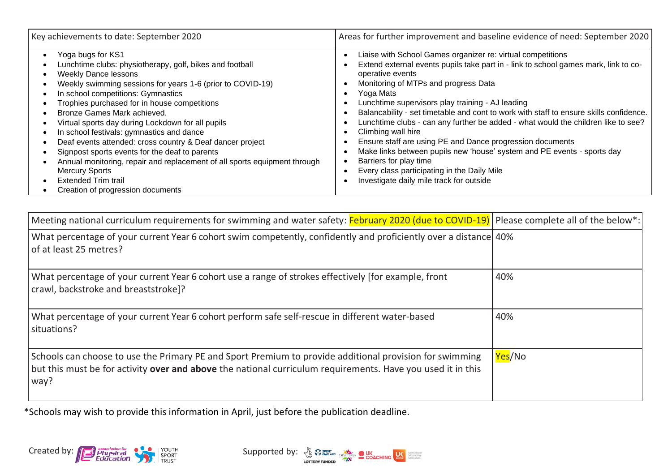| Key achievements to date: September 2020                                                                                                                                                                                                                                                                                                                                                                                                                                                                                                                                                                                                                                                  | Areas for further improvement and baseline evidence of need: September 2020                                                                                                                                                                                                                                                                                                                                                                                                                                                                                                                                                                                                                                                                       |
|-------------------------------------------------------------------------------------------------------------------------------------------------------------------------------------------------------------------------------------------------------------------------------------------------------------------------------------------------------------------------------------------------------------------------------------------------------------------------------------------------------------------------------------------------------------------------------------------------------------------------------------------------------------------------------------------|---------------------------------------------------------------------------------------------------------------------------------------------------------------------------------------------------------------------------------------------------------------------------------------------------------------------------------------------------------------------------------------------------------------------------------------------------------------------------------------------------------------------------------------------------------------------------------------------------------------------------------------------------------------------------------------------------------------------------------------------------|
| Yoga bugs for KS1<br>Lunchtime clubs: physiotherapy, golf, bikes and football<br><b>Weekly Dance lessons</b><br>Weekly swimming sessions for years 1-6 (prior to COVID-19)<br>In school competitions: Gymnastics<br>Trophies purchased for in house competitions<br>Bronze Games Mark achieved.<br>Virtual sports day during Lockdown for all pupils<br>In school festivals: gymnastics and dance<br>Deaf events attended: cross country & Deaf dancer project<br>Signpost sports events for the deaf to parents<br>Annual monitoring, repair and replacement of all sports equipment through<br><b>Mercury Sports</b><br><b>Extended Trim trail</b><br>Creation of progression documents | Liaise with School Games organizer re: virtual competitions<br>Extend external events pupils take part in - link to school games mark, link to co-<br>operative events<br>Monitoring of MTPs and progress Data<br>Yoga Mats<br>Lunchtime supervisors play training - AJ leading<br>Balancability - set timetable and cont to work with staff to ensure skills confidence.<br>Lunchtime clubs - can any further be added - what would the children like to see?<br>Climbing wall hire<br>Ensure staff are using PE and Dance progression documents<br>Make links between pupils new 'house' system and PE events - sports day<br>Barriers for play time<br>Every class participating in the Daily Mile<br>Investigate daily mile track for outside |

| Meeting national curriculum requirements for swimming and water safety: February 2020 (due to COVID-19) Please complete all of the below*:                                                                                     |        |
|--------------------------------------------------------------------------------------------------------------------------------------------------------------------------------------------------------------------------------|--------|
| What percentage of your current Year 6 cohort swim competently, confidently and proficiently over a distance 40%<br>of at least 25 metres?                                                                                     |        |
| What percentage of your current Year 6 cohort use a range of strokes effectively [for example, front<br>crawl, backstroke and breaststroke]?                                                                                   | 40%    |
| What percentage of your current Year 6 cohort perform safe self-rescue in different water-based<br>situations?                                                                                                                 | 40%    |
| Schools can choose to use the Primary PE and Sport Premium to provide additional provision for swimming<br>but this must be for activity over and above the national curriculum requirements. Have you used it in this<br>way? | Yes/No |

\*Schools may wish to provide this information in April, just before the publication deadline.



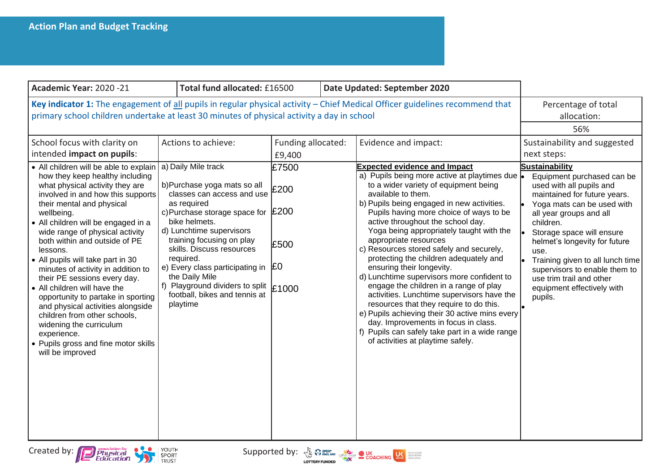| Academic Year: 2020 -21                                                                                                                                                                                                                                                                                                                                                                                                                                                                                                                                                                                                                                                                                                                                             | Total fund allocated: £16500                                                                                                                                                                                                                                                                                                                                                                   |                                                                      | Date Updated: September 2020                                                                                                                                                                                                                                                                                                                                                                                                                                                                                                                                                                                                                                                                                                                                                                                                                                       |                                                                                                                                                                                                                                                                                                                                                                                                                                                      |
|---------------------------------------------------------------------------------------------------------------------------------------------------------------------------------------------------------------------------------------------------------------------------------------------------------------------------------------------------------------------------------------------------------------------------------------------------------------------------------------------------------------------------------------------------------------------------------------------------------------------------------------------------------------------------------------------------------------------------------------------------------------------|------------------------------------------------------------------------------------------------------------------------------------------------------------------------------------------------------------------------------------------------------------------------------------------------------------------------------------------------------------------------------------------------|----------------------------------------------------------------------|--------------------------------------------------------------------------------------------------------------------------------------------------------------------------------------------------------------------------------------------------------------------------------------------------------------------------------------------------------------------------------------------------------------------------------------------------------------------------------------------------------------------------------------------------------------------------------------------------------------------------------------------------------------------------------------------------------------------------------------------------------------------------------------------------------------------------------------------------------------------|------------------------------------------------------------------------------------------------------------------------------------------------------------------------------------------------------------------------------------------------------------------------------------------------------------------------------------------------------------------------------------------------------------------------------------------------------|
| Key indicator 1: The engagement of all pupils in regular physical activity - Chief Medical Officer guidelines recommend that<br>primary school children undertake at least 30 minutes of physical activity a day in school                                                                                                                                                                                                                                                                                                                                                                                                                                                                                                                                          |                                                                                                                                                                                                                                                                                                                                                                                                |                                                                      | Percentage of total<br>allocation:<br>56%                                                                                                                                                                                                                                                                                                                                                                                                                                                                                                                                                                                                                                                                                                                                                                                                                          |                                                                                                                                                                                                                                                                                                                                                                                                                                                      |
| School focus with clarity on<br>intended impact on pupils:<br>• All children will be able to explain   a) Daily Mile track<br>how they keep healthy including<br>what physical activity they are<br>involved in and how this supports<br>their mental and physical<br>wellbeing.<br>• All children will be engaged in a<br>wide range of physical activity<br>both within and outside of PE<br>lessons.<br>• All pupils will take part in 30<br>minutes of activity in addition to<br>their PE sessions every day.<br>• All children will have the<br>opportunity to partake in sporting<br>and physical activities alongside<br>children from other schools,<br>widening the curriculum<br>experience.<br>• Pupils gross and fine motor skills<br>will be improved | Actions to achieve:<br>b)Purchase yoga mats so all<br>classes can access and use<br>as required<br>c) Purchase storage space for £200<br>bike helmets.<br>d) Lunchtime supervisors<br>training focusing on play<br>skills. Discuss resources<br>required.<br>e) Every class participating in<br>the Daily Mile<br>f) Playground dividers to split<br>football, bikes and tennis at<br>playtime | Funding allocated:<br>£9,400<br>£7500<br>£200<br>£500<br>£0<br>£1000 | Evidence and impact:<br><b>Expected evidence and Impact</b><br>a) Pupils being more active at playtimes due<br>to a wider variety of equipment being<br>available to them.<br>b) Pupils being engaged in new activities.<br>Pupils having more choice of ways to be<br>active throughout the school day.<br>Yoga being appropriately taught with the<br>appropriate resources<br>c) Resources stored safely and securely,<br>protecting the children adequately and<br>ensuring their longevity.<br>d) Lunchtime supervisors more confident to<br>engage the children in a range of play<br>activities. Lunchtime supervisors have the<br>resources that they require to do this.<br>e) Pupils achieving their 30 active mins every<br>day. Improvements in focus in class.<br>f) Pupils can safely take part in a wide range<br>of activities at playtime safely. | Sustainability and suggested<br>next steps:<br><b>Sustainability</b><br>Equipment purchased can be<br>used with all pupils and<br>maintained for future years.<br>Yoga mats can be used with<br>all year groups and all<br>children.<br>Storage space will ensure<br>helmet's longevity for future<br>use.<br>Training given to all lunch time<br>supervisors to enable them to<br>use trim trail and other<br>equipment effectively with<br>pupils. |
|                                                                                                                                                                                                                                                                                                                                                                                                                                                                                                                                                                                                                                                                                                                                                                     |                                                                                                                                                                                                                                                                                                                                                                                                |                                                                      |                                                                                                                                                                                                                                                                                                                                                                                                                                                                                                                                                                                                                                                                                                                                                                                                                                                                    |                                                                                                                                                                                                                                                                                                                                                                                                                                                      |



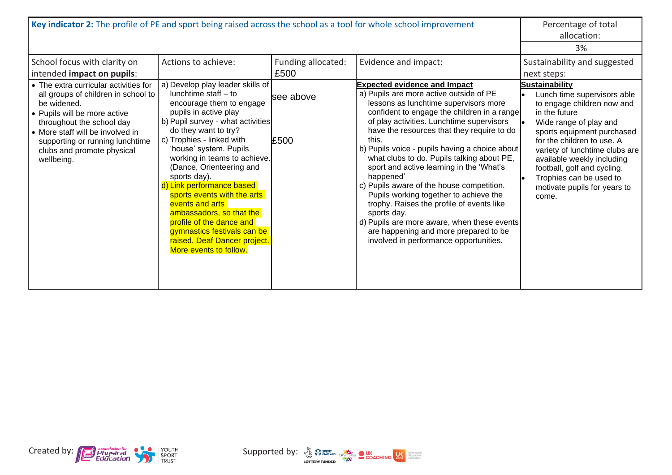| Key indicator 2: The profile of PE and sport being raised across the school as a tool for whole school improvement                                                                                                                                                                                                                        |                                                                                                                                                                                                                                                                                                                                                                                                                                                                                                                                                                      |                                                  |                                                                                                                                                                                                                                                                                                                                                                                                                                                                                                                                                                                                                                                                                                                                                  | Percentage of total<br>allocation:<br>3%                                                                                                                                                                                                                                                                                                                                                             |
|-------------------------------------------------------------------------------------------------------------------------------------------------------------------------------------------------------------------------------------------------------------------------------------------------------------------------------------------|----------------------------------------------------------------------------------------------------------------------------------------------------------------------------------------------------------------------------------------------------------------------------------------------------------------------------------------------------------------------------------------------------------------------------------------------------------------------------------------------------------------------------------------------------------------------|--------------------------------------------------|--------------------------------------------------------------------------------------------------------------------------------------------------------------------------------------------------------------------------------------------------------------------------------------------------------------------------------------------------------------------------------------------------------------------------------------------------------------------------------------------------------------------------------------------------------------------------------------------------------------------------------------------------------------------------------------------------------------------------------------------------|------------------------------------------------------------------------------------------------------------------------------------------------------------------------------------------------------------------------------------------------------------------------------------------------------------------------------------------------------------------------------------------------------|
| School focus with clarity on<br>intended impact on pupils:<br>• The extra curricular activities for<br>all groups of children in school to<br>be widened.<br>• Pupils will be more active<br>throughout the school day<br>• More staff will be involved in<br>supporting or running lunchtime<br>clubs and promote physical<br>wellbeing. | Actions to achieve:<br>a) Develop play leader skills of<br>lunchtime staff - to<br>encourage them to engage<br>pupils in active play<br>b) Pupil survey - what activities<br>do they want to try?<br>c) Trophies - linked with<br>'house' system. Pupils<br>working in teams to achieve.<br>(Dance, Orienteering and<br>sports day).<br>d) Link performance based<br>sports events with the arts<br>events and arts<br>ambassadors, so that the<br>profile of the dance and<br>gymnastics festivals can be<br>raised. Deaf Dancer project.<br>More events to follow. | Funding allocated:<br>£500<br>lsee above<br>£500 | Evidence and impact:<br><b>Expected evidence and Impact</b><br>a) Pupils are more active outside of PE<br>lessons as lunchtime supervisors more<br>confident to engage the children in a range<br>of play activities. Lunchtime supervisors<br>have the resources that they require to do<br>this.<br>b) Pupils voice - pupils having a choice about<br>what clubs to do. Pupils talking about PE,<br>sport and active learning in the 'What's<br>happened'<br>c) Pupils aware of the house competition.<br>Pupils working together to achieve the<br>trophy. Raises the profile of events like<br>sports day.<br>d) Pupils are more aware, when these events<br>are happening and more prepared to be<br>involved in performance opportunities. | Sustainability and suggested<br>next steps:<br>Sustainability<br>Lunch time supervisors able<br>to engage children now and<br>in the future<br>Wide range of play and<br>sports equipment purchased<br>for the children to use. A<br>variety of lunchtime clubs are<br>available weekly including<br>football, golf and cycling.<br>Trophies can be used to<br>motivate pupils for years to<br>come. |



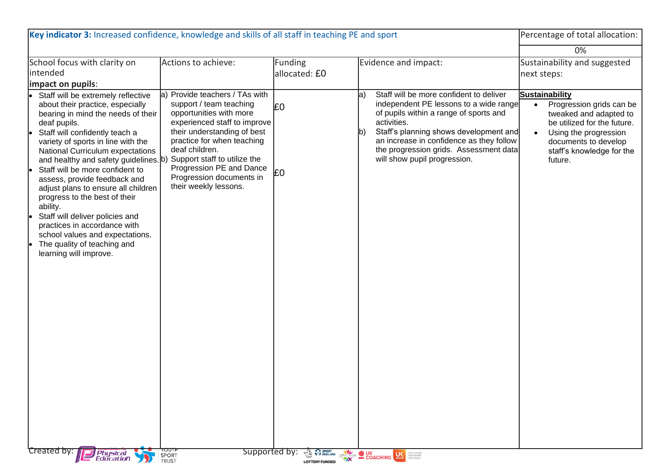| 0%<br>Sustainability and suggested<br>School focus with clarity on<br>Funding<br>Actions to achieve:<br>Evidence and impact:<br>intended<br>allocated: £0<br>next steps:<br>impact on pupils:<br>Provide teachers / TAs with<br>Staff will be more confident to deliver<br><b>Sustainability</b><br>Staff will be extremely reflective<br>$ a\rangle$<br>la)<br>independent PE lessons to a wide range<br>support / team teaching<br>about their practice, especially<br>Progression grids can be<br>E <sub>0</sub><br>opportunities with more<br>of pupils within a range of sports and<br>bearing in mind the needs of their<br>tweaked and adapted to<br>experienced staff to improve<br>activities.<br>be utilized for the future.<br>deaf pupils.<br>Staff's planning shows development and<br>their understanding of best<br>Staff will confidently teach a<br>lb)<br>Using the progression<br>practice for when teaching<br>an increase in confidence as they follow<br>variety of sports in line with the<br>documents to develop<br>deaf children.<br>the progression grids. Assessment data<br>National Curriculum expectations<br>staff's knowledge for the<br>Support staff to utilize the<br>will show pupil progression.<br>and healthy and safety guidelines. b)<br>future.<br>Progression PE and Dance<br>Staff will be more confident to<br>£0<br>Progression documents in<br>assess, provide feedback and<br>their weekly lessons.<br>adjust plans to ensure all children<br>progress to the best of their<br>ability.<br>Staff will deliver policies and<br>practices in accordance with<br>school values and expectations.<br>The quality of teaching and<br>learning will improve. | Key indicator 3: Increased confidence, knowledge and skills of all staff in teaching PE and sport |  |  |  | Percentage of total allocation: |
|---------------------------------------------------------------------------------------------------------------------------------------------------------------------------------------------------------------------------------------------------------------------------------------------------------------------------------------------------------------------------------------------------------------------------------------------------------------------------------------------------------------------------------------------------------------------------------------------------------------------------------------------------------------------------------------------------------------------------------------------------------------------------------------------------------------------------------------------------------------------------------------------------------------------------------------------------------------------------------------------------------------------------------------------------------------------------------------------------------------------------------------------------------------------------------------------------------------------------------------------------------------------------------------------------------------------------------------------------------------------------------------------------------------------------------------------------------------------------------------------------------------------------------------------------------------------------------------------------------------------------------------------------------------------------------------------------------|---------------------------------------------------------------------------------------------------|--|--|--|---------------------------------|
|                                                                                                                                                                                                                                                                                                                                                                                                                                                                                                                                                                                                                                                                                                                                                                                                                                                                                                                                                                                                                                                                                                                                                                                                                                                                                                                                                                                                                                                                                                                                                                                                                                                                                                         |                                                                                                   |  |  |  |                                 |
|                                                                                                                                                                                                                                                                                                                                                                                                                                                                                                                                                                                                                                                                                                                                                                                                                                                                                                                                                                                                                                                                                                                                                                                                                                                                                                                                                                                                                                                                                                                                                                                                                                                                                                         |                                                                                                   |  |  |  |                                 |
| Created by: <b>Physical</b><br>Education<br>HTUUTH<br>SPORT<br>TRUST<br>Supported by:<br><b>The WEINDER CONCHING LEADER INTERNATIONAL CONCHING LEADERS AND SERVER DESCRIPTION OF A LOCAL CONCHING LEADER DESCRIPTION OF A LOCAL CONCHING LEADER DESCRIPTION OF A LOCAL CONCHING LEADERS AND SERVER CONCHING LEADERS AND S</b>                                                                                                                                                                                                                                                                                                                                                                                                                                                                                                                                                                                                                                                                                                                                                                                                                                                                                                                                                                                                                                                                                                                                                                                                                                                                                                                                                                           |                                                                                                   |  |  |  |                                 |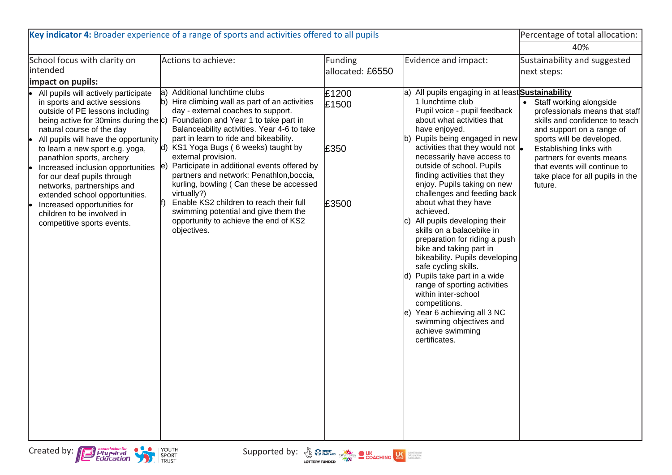| Key indicator 4: Broader experience of a range of sports and activities offered to all pupils                                                                                                                                                                                                                                                                                                                                                                                                                                                 | Percentage of total allocation:                                                                                                                                                                                                                                                                                                                                                                                                                                                                                                                                                                                                               |                                    |                                                                                                                                                                                                                                                                                                                                                                                                                                                                                                                                                                                                                                                                                                                                                                                                                                        |                                                                                                                                                                                                                                                                                                |
|-----------------------------------------------------------------------------------------------------------------------------------------------------------------------------------------------------------------------------------------------------------------------------------------------------------------------------------------------------------------------------------------------------------------------------------------------------------------------------------------------------------------------------------------------|-----------------------------------------------------------------------------------------------------------------------------------------------------------------------------------------------------------------------------------------------------------------------------------------------------------------------------------------------------------------------------------------------------------------------------------------------------------------------------------------------------------------------------------------------------------------------------------------------------------------------------------------------|------------------------------------|----------------------------------------------------------------------------------------------------------------------------------------------------------------------------------------------------------------------------------------------------------------------------------------------------------------------------------------------------------------------------------------------------------------------------------------------------------------------------------------------------------------------------------------------------------------------------------------------------------------------------------------------------------------------------------------------------------------------------------------------------------------------------------------------------------------------------------------|------------------------------------------------------------------------------------------------------------------------------------------------------------------------------------------------------------------------------------------------------------------------------------------------|
|                                                                                                                                                                                                                                                                                                                                                                                                                                                                                                                                               | 40%                                                                                                                                                                                                                                                                                                                                                                                                                                                                                                                                                                                                                                           |                                    |                                                                                                                                                                                                                                                                                                                                                                                                                                                                                                                                                                                                                                                                                                                                                                                                                                        |                                                                                                                                                                                                                                                                                                |
| School focus with clarity on<br>lintended<br>impact on pupils:                                                                                                                                                                                                                                                                                                                                                                                                                                                                                | Actions to achieve:                                                                                                                                                                                                                                                                                                                                                                                                                                                                                                                                                                                                                           | <b>Funding</b><br>allocated: £6550 | Evidence and impact:                                                                                                                                                                                                                                                                                                                                                                                                                                                                                                                                                                                                                                                                                                                                                                                                                   | Sustainability and suggested<br>next steps:                                                                                                                                                                                                                                                    |
| All pupils will actively participate<br>le.<br>in sports and active sessions<br>outside of PE lessons including<br>being active for 30 mins during the $ c\rangle$<br>natural course of the day<br>All pupils will have the opportunity<br>to learn a new sport e.g. yoga,<br>panathlon sports, archery<br>Increased inclusion opportunities<br>le.<br>for our deaf pupils through<br>networks, partnerships and<br>extended school opportunities.<br>Increased opportunities for<br>children to be involved in<br>competitive sports events. | Additional lunchtime clubs<br>la)<br>b) Hire climbing wall as part of an activities<br>day - external coaches to support.<br>Foundation and Year 1 to take part in<br>Balanceability activities. Year 4-6 to take<br>part in learn to ride and bikeability.<br>KS1 Yoga Bugs (6 weeks) taught by<br>$ d\rangle$<br>external provision.<br>Participate in additional events offered by<br>le.<br>partners and network: Penathlon, boccia,<br>kurling, bowling (Can these be accessed<br>virtually?)<br>Enable KS2 children to reach their full<br>swimming potential and give them the<br>opportunity to achieve the end of KS2<br>objectives. | £1200<br>£1500<br>£350<br>£3500    | All pupils engaging in at least Sustainability<br>1 lunchtime club<br>Pupil voice - pupil feedback<br>about what activities that<br>have enjoyed.<br>Pupils being engaged in new<br>b)<br>activities that they would not $\vert_{\bullet}$<br>necessarily have access to<br>outside of school. Pupils<br>finding activities that they<br>enjoy. Pupils taking on new<br>challenges and feeding back<br>about what they have<br>achieved.<br>All pupils developing their<br>C)<br>skills on a balacebike in<br>preparation for riding a push<br>bike and taking part in<br>bikeability. Pupils developing<br>safe cycling skills.<br>d) Pupils take part in a wide<br>range of sporting activities<br>within inter-school<br>competitions.<br>Year 6 achieving all 3 NC<br>swimming objectives and<br>achieve swimming<br>certificates. | • Staff working alongside<br>professionals means that staff<br>skills and confidence to teach<br>and support on a range of<br>sports will be developed.<br>Establishing links with<br>partners for events means<br>that events will continue to<br>take place for all pupils in the<br>future. |
| Supported by: $\sqrt[3]{8}$ $\frac{1}{\sqrt[3]{8}}$ $\frac{1}{\sqrt[3]{8}}$ COACHING $\frac{1}{\sqrt[3]{8}}$ Strategies<br>Created by: <b>Physical</b><br>Education<br>YOUTH<br>SPORT<br>TRUST                                                                                                                                                                                                                                                                                                                                                |                                                                                                                                                                                                                                                                                                                                                                                                                                                                                                                                                                                                                                               |                                    |                                                                                                                                                                                                                                                                                                                                                                                                                                                                                                                                                                                                                                                                                                                                                                                                                                        |                                                                                                                                                                                                                                                                                                |